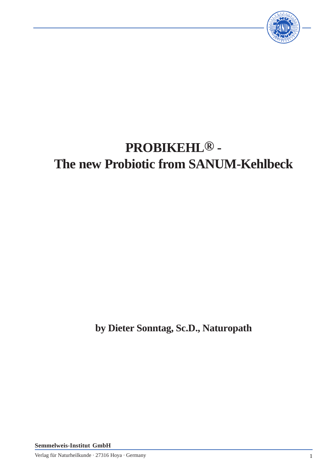

# **PROBIKEHL® - The new Probiotic from SANUM-Kehlbeck**

**by Dieter Sonntag, Sc.D., Naturopath**

**Semmelweis-Institut GmbH**

Verlag für Naturheilkunde · 27316 Hoya · Germany 1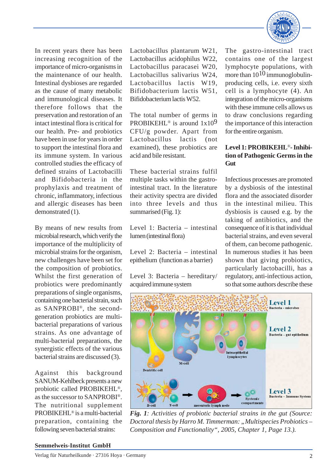

In recent years there has been increasing recognition of the importance of micro-organisms in the maintenance of our health. Intestinal dysbioses are regarded as the cause of many metabolic and immunological diseases. It therefore follows that the preservation and restoration of an intact intestinal flora is critical for our health. Pre- and probiotics have been in use for years in order to support the intestinal flora and its immune system. In various controlled studies the efficacy of defined strains of Lactobacilli and Bifidobacteria in the prophylaxis and treatment of chronic, inflammatory, infectious and allergic diseases has been demonstrated (1).

By means of new results from microbial research, which verify the importance of the multiplicity of microbial strains for the organism, new challenges have been set for the composition of probiotics. Whilst the first generation of probiotics were predominantly preparations of single organisms, containing one bacterial strain, such as SANPROBI®, the secondgeneration probiotics are multibacterial preparations of various strains. As one advantage of multi-bacterial preparations, the synergistic effects of the various bacterial strains are discussed (3).

Against this background SANUM-Kehlbeck presents a new probiotic called PROBIKEHL®, as the successor to SANPROBI®. The nutritional supplement PROBIKEHL® is a multi-bacterial preparation, containing the following seven bacterial strains:

Lactobacillus plantarum W21, Lactobacillus acidophilus W22, Lactobacillus paracasei W20, Lactobacillus salivarius W24, Lactobacillus lactis W19, Bifidobacterium lactis W51, Bifidobacterium lactis W52.

The total number of germs in PROBIKEHL<sup>®</sup> is around  $1x10<sup>9</sup>$ CFU/g powder. Apart from Lactobacillus lactis (not examined), these probiotics are acid and bile resistant.

These bacterial strains fulfil multiple tasks within the gastrointestinal tract. In the literature their activity spectra are divided into three levels and thus summarised (Fig. 1):

Level 1: Bacteria – intestinal lumen (intestinal flora)

Level 2: Bacteria – intestinal epithelium (function as a barrier)

Level 3: Bacteria – hereditary/ acquired immune system

The gastro-intestinal tract contains one of the largest lymphocyte populations, with more than  $10^{10}$  immunoglobulinproducing cells, i.e. every sixth cell is a lymphocyte (4). An integration of the micro-organisms with these immune cells allows us to draw conclusions regarding the importance of this interaction for the entire organism.

# **Level 1: PROBIKEHL**®**- Inhibition of Pathogenic Germs in the Gut**

Infectious processes are promoted by a dysbiosis of the intestinal flora and the associated disorder in the intestinal milieu. This dysbiosis is caused e.g. by the taking of antibiotics, and the consequence of it is that individual bacterial strains, and even several of them, can become pathogenic. In numerous studies it has been shown that giving probiotics, particularly lactobacilli, has a regulatory, anti-infectious action, so that some authors describe these



*Fig. 1: Activities of probiotic bacterial strains in the gut (Source: Doctoral thesis by Harro M. Timmerman: "Multispecies Probiotics – Composition and Functionality", 2005, Chapter 1, Page 13.).*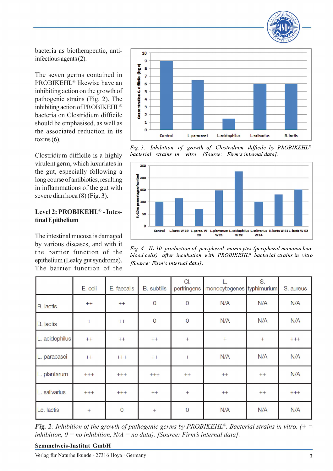

bacteria as biotherapeutic, antiinfectious agents  $(2)$ .

The seven germs contained in PROBIKEHL<sup>®</sup> likewise have an inhibiting action on the growth of pathogenic strains (Fig. 2). The inhibiting action of PROBIKEHL<sup>®</sup> bacteria on Clostridium difficile should be emphasised, as well as the associated reduction in its  $toxins(6)$ .

Clostridium difficile is a highly virulent germ, which luxuriates in the gut, especially following a long course of antibiotics, resulting in inflammations of the gut with severe diarrhoea (8) (Fig. 3).

## Level 2: PROBIKEHL<sup>®</sup> - Intestinal Epithelium

The intestinal mucosa is damaged by various diseases, and with it the barrier function of the epithelium (Leaky gut syndrome). The barrier function of the



Fig. 3: Inhibition of growth of Clostridium difficile by PROBIKEHL® bacterial strains in vitro [Source: Firm's internal data].



Fig. 4: IL-10 production of peripheral monocytes (peripheral mononuclear blood cells) after incubation with PROBIKEHL<sup>®</sup> bacterial strains in vitro [Source: Firm's internal data].

|                  | E. coli | E. faecalis | <b>B.</b> subtilis | CI.<br>perfringens | monocytogenes typhimurium | S.   | S. aureus |
|------------------|---------|-------------|--------------------|--------------------|---------------------------|------|-----------|
| <b>B.</b> lactis | $++$    | $++$        | $\overline{0}$     | $\overline{0}$     | N/A                       | N/A  | N/A       |
| <b>B.</b> lactis | $+$     | $++$        | $\overline{0}$     | $\circ$            | N/A                       | N/A  | N/A       |
| L. acidophilus   | $++$    | $++$        | $++$               | $+$                | $^{+}$                    | $+$  | $++++$    |
| L. paracasei     | $++$    | $+++$       | $++$               | $+$                | N/A                       | N/A  | N/A       |
| L. plantarum     | $++++$  | $++++$      | $^{+ + +}$         | $++$               | $++$                      | $++$ | N/A       |
| L. salivarius    | $+ + +$ | $+ + +$     | $++$               | $+$                | $++$                      | $++$ | $++++$    |
| Lc. lactis       | $+$     | $\mathbf 0$ | $^{+}$             | $\overline{0}$     | N/A                       | N/A  | N/A       |

**Fig. 2:** Inhibition of the growth of pathogenic germs by PROBIKEHL<sup>®</sup>. Bacterial strains in vitro.  $(+)$ inhibition,  $0 = no$  inhibition,  $N/A = no$  data). [Source: Firm's internal data].

**Semmelweis-Institut GmbH**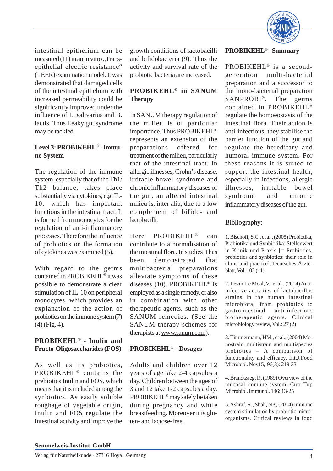

intestinal epithelium can be measured  $(11)$  in an in vitro ...Transepithelial electric resistance" (TEER) examination model. It was demonstrated that damaged cells of the intestinal epithelium with increased permeability could be significantly improved under the influence of L. salivarius and B. lactis. Thus Leaky gut syndrome may be tackled.

### **Level 3: PROBIKEHL**® **- Immune System**

The regulation of the immune system, especially that of the Th1/ Th2 balance, takes place substantially via cytokines, e.g. IL-10, which has important functions in the intestinal tract. It is formed from monocytes for the regulation of anti-inflammatory processes. Therefore the influence of probiotics on the formation of cytokines was examined (5).

With regard to the germs contained in PROBIKEHL® it was possible to demonstrate a clear stimulation of IL-10 on peripheral monocytes, which provides an explanation of the action of probiotics on the immune system (7) (4) (Fig. 4).

## **PROBIKEHL**® **- Inulin and Fructo-Oligosaccharides (FOS)**

As well as its probiotics, PROBIKEHL® contains the prebiotics Inulin and FOS, which means that it is included among the synbiotics. As easily soluble roughage of vegetable origin, Inulin and FOS regulate the intestinal activity and improve the

growth conditions of lactobacilli and bifidobacteria (9). Thus the activity and survival rate of the probiotic bacteria are increased.

# **PROBIKEHL® in SANUM Therapy**

In SANUM therapy regulation of the milieu is of particular importance. Thus PROBIKEHL® represents an extension of the preparations offered for treatment of the milieu, particularly that of the intestinal tract. In allergic illnesses, Crohn's disease, irritable bowel syndrome and chronic inflammatory diseases of the gut, an altered intestinal milieu is, inter alia, due to a low complement of bifido- and lactobacilli.

Here PROBIKEHL® can contribute to a normalisation of the intestinal flora. In studies it has been demonstrated that multibacterial preparations alleviate symptoms of these diseases (10). PROBIKEHL® is employed as a single remedy, or also in combination with other therapeutic agents, such as the SANUM remedies. (See the SANUM therapy schemes for therapists at www.sanum.com).

#### **PROBIKEHL**® **- Dosages**

Adults and children over 12 years of age take 2-4 capsules a day. Children between the ages of 3 and 12 take 1-2 capsules a day. PROBIKEHL® may safely be taken during pregnancy and while breastfeeding. Moreover it is gluten- and lactose-free.

#### **PROBIKEHL**® **- Summary**

PROBIKEHL® is a secondgeneration multi-bacterial preparation and a successor to the mono-bacterial preparation SANPROBI®. The germs contained in PROBIKEHL® regulate the homoeostasis of the intestinal flora. Their action is anti-infectious; they stabilise the barrier function of the gut and regulate the hereditary and humoral immune system. For these reasons it is suited to support the intestinal health, especially in infections, allergic illnesses, irritable bowel syndrome and chronic inflammatory diseases of the gut.

#### Bibliography:

1. Bischoff, S.C., et al., (2005) Probiotika, Präbiotika und Synbiotika: Stellenwert in Klinik und Praxis [= Probiotics, prebiotics and synbiotics: their role in clinic and practice], Deutsches Ärzteblatt, Vol. 102 (11)

2. Levin-Le Moal, V., et al., (2014) Antiinfective activities of lactobacillus strains in the human intestinal microbiota; from probiotics to gastrointestinal anti-infectious biotherapeutic agents. Clinical microbiology review, Vol.: 27 (2)

3. Timmermann, HM., et al., (2004) Monostrain, multistrain and multispecies probiotics – A comparison of functionality and efficacy. Int.J.Food Microbiol. Nov15, 96(3): 219-33

4. Brandtzaeg, P., (1989) Overview of the mucosal immune system. Curr Top Microbiol. Immunol. 146: 13-25

5. Ashraf, R., Shah, NP., (2014) Immune system stimulation by probiotic microorganisms, Critical reviews in food